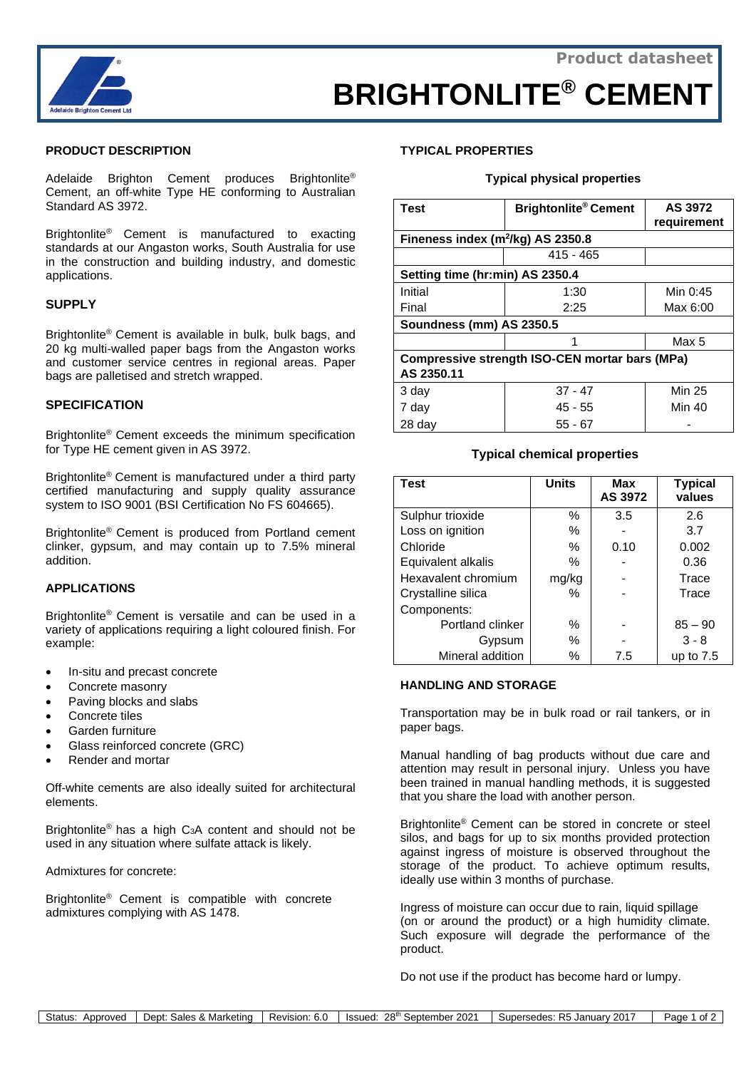

# **BRIGHTONLITE® CEMENT**

## **PRODUCT DESCRIPTION**

Adelaide Brighton Cement produces Brightonlite® Cement, an off-white Type HE conforming to Australian Standard AS 3972.

Brightonlite® Cement is manufactured to exacting standards at our Angaston works, South Australia for use in the construction and building industry, and domestic applications.

## **SUPPLY**

Brightonlite® Cement is available in bulk, bulk bags, and 20 kg multi-walled paper bags from the Angaston works and customer service centres in regional areas. Paper bags are palletised and stretch wrapped.

## **SPECIFICATION**

Brightonlite® Cement exceeds the minimum specification for Type HE cement given in AS 3972.

Brightonlite® Cement is manufactured under a third party certified manufacturing and supply quality assurance system to ISO 9001 (BSI Certification No FS 604665).

Brightonlite® Cement is produced from Portland cement clinker, gypsum, and may contain up to 7.5% mineral addition.

## **APPLICATIONS**

Brightonlite® Cement is versatile and can be used in a variety of applications requiring a light coloured finish. For example:

- In-situ and precast concrete
- Concrete masonry
- Paving blocks and slabs
- Concrete tiles
- Garden furniture
- Glass reinforced concrete (GRC)
- Render and mortar

Off-white cements are also ideally suited for architectural elements.

Brightonlite® has a high C3A content and should not be used in any situation where sulfate attack is likely.

Admixtures for concrete:

Brightonlite® Cement is compatible with concrete admixtures complying with AS 1478.

# **TYPICAL PROPERTIES**

#### **Typical physical properties**

| <b>Test</b>                                    | <b>Brightonlite<sup>®</sup> Cement</b> | AS 3972<br>requirement |  |  |
|------------------------------------------------|----------------------------------------|------------------------|--|--|
| Fineness index $(m^2/kg)$ AS 2350.8            |                                        |                        |  |  |
|                                                | $415 - 465$                            |                        |  |  |
| Setting time (hr:min) AS 2350.4                |                                        |                        |  |  |
| Initial                                        | 1:30                                   | Min 0:45               |  |  |
| Final                                          | 2:25                                   | Max 6:00               |  |  |
| Soundness (mm) AS 2350.5                       |                                        |                        |  |  |
|                                                |                                        | Max 5                  |  |  |
| Compressive strength ISO-CEN mortar bars (MPa) |                                        |                        |  |  |
| AS 2350.11                                     |                                        |                        |  |  |
| 3 day                                          | $37 - 47$                              | <b>Min 25</b>          |  |  |
| 7 day                                          | 45 - 55                                | Min 40                 |  |  |
| 28 day                                         | 55 - 67                                |                        |  |  |

# **Typical chemical properties**

| <b>Test</b>         | <b>Units</b> | <b>Max</b><br>AS 3972 | <b>Typical</b><br>values |
|---------------------|--------------|-----------------------|--------------------------|
| Sulphur trioxide    | %            | 3.5                   | 2.6                      |
| Loss on ignition    | %            |                       | 3.7                      |
| Chloride            | %            | 0.10                  | 0.002                    |
| Equivalent alkalis  | %            |                       | 0.36                     |
| Hexavalent chromium | mg/kg        |                       | Trace                    |
| Crystalline silica  | %            |                       | Trace                    |
| Components:         |              |                       |                          |
| Portland clinker    | %            |                       | $85 - 90$                |
| Gypsum              | %            |                       | $3 - 8$                  |
| Mineral addition    | %            | 7.5                   | up to $7.5$              |

## **HANDLING AND STORAGE**

Transportation may be in bulk road or rail tankers, or in paper bags.

Manual handling of bag products without due care and attention may result in personal injury. Unless you have been trained in manual handling methods, it is suggested that you share the load with another person.

Brightonlite ® Cement can be stored in concrete or steel silos, and bags for up to six months provided protection against ingress of moisture is observed throughout the storage of the product. To achieve optimum results, ideally use within 3 months of purchase.

Ingress of moisture can occur due to rain, liquid spillage (on or around the product) or a high humidity climate. Such exposure will degrade the performance of the product.

Do not use if the product has become hard or lumpy.